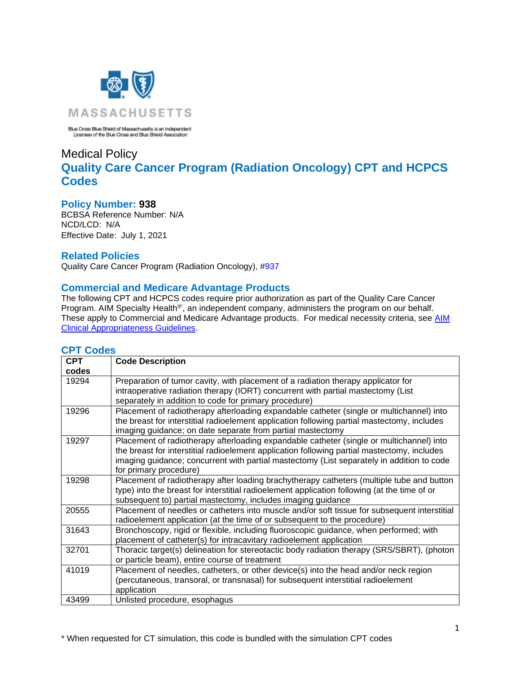

Blue Cross Blue Shield of Massachusetts is an Independent<br>Licensee of the Blue Cross and Blue Shield Association

# Medical Policy **Quality Care Cancer Program (Radiation Oncology) CPT and HCPCS Codes**

## **Policy Number: 938**

BCBSA Reference Number: N/A NCD/LCD: N/A Effective Date: July 1, 2021

## **Related Policies**

Quality Care Cancer Program (Radiation Oncology), [#937](https://www.bluecrossma.org/medical-policies/sites/g/files/csphws2091/files/acquiadam-assets/937%20Quality%20Care%20Cancer%20Program%20%28Radiation%20Oncology%29.pdf)

## **Commercial and Medicare Advantage Products**

The following CPT and HCPCS codes require prior authorization as part of the Quality Care Cancer Program. AIM Specialty Health<sup>®</sup>', an independent company, administers the program on our behalf. These apply to Commercial and Medicare Advantage products. For medical necessity criteria, see AIM [Clinical Appropriateness Guidelines.](http://www.aimspecialtyhealth.com/CG-RadiationOncology.html)

| <b>CPT</b> | <b>Code Description</b>                                                                                                                                                                                                                                                                                        |
|------------|----------------------------------------------------------------------------------------------------------------------------------------------------------------------------------------------------------------------------------------------------------------------------------------------------------------|
| codes      |                                                                                                                                                                                                                                                                                                                |
| 19294      | Preparation of tumor cavity, with placement of a radiation therapy applicator for<br>intraoperative radiation therapy (IORT) concurrent with partial mastectomy (List<br>separately in addition to code for primary procedure)                                                                                 |
| 19296      | Placement of radiotherapy afterloading expandable catheter (single or multichannel) into<br>the breast for interstitial radioelement application following partial mastectomy, includes<br>imaging guidance; on date separate from partial mastectomy                                                          |
| 19297      | Placement of radiotherapy afterloading expandable catheter (single or multichannel) into<br>the breast for interstitial radioelement application following partial mastectomy, includes<br>imaging guidance; concurrent with partial mastectomy (List separately in addition to code<br>for primary procedure) |
| 19298      | Placement of radiotherapy after loading brachytherapy catheters (multiple tube and button<br>type) into the breast for interstitial radioelement application following (at the time of or<br>subsequent to) partial mastectomy, includes imaging guidance                                                      |
| 20555      | Placement of needles or catheters into muscle and/or soft tissue for subsequent interstitial<br>radioelement application (at the time of or subsequent to the procedure)                                                                                                                                       |
| 31643      | Bronchoscopy, rigid or flexible, including fluoroscopic guidance, when performed; with<br>placement of catheter(s) for intracavitary radioelement application                                                                                                                                                  |
| 32701      | Thoracic target(s) delineation for stereotactic body radiation therapy (SRS/SBRT), (photon<br>or particle beam), entire course of treatment                                                                                                                                                                    |
| 41019      | Placement of needles, catheters, or other device(s) into the head and/or neck region<br>(percutaneous, transoral, or transnasal) for subsequent interstitial radioelement<br>application                                                                                                                       |
| 43499      | Unlisted procedure, esophagus                                                                                                                                                                                                                                                                                  |

## **CPT Codes**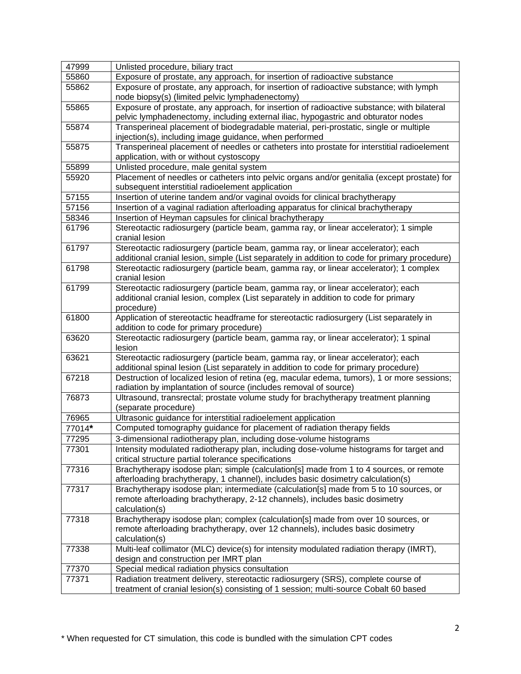| 47999  | Unlisted procedure, biliary tract                                                                                                                                               |
|--------|---------------------------------------------------------------------------------------------------------------------------------------------------------------------------------|
| 55860  | Exposure of prostate, any approach, for insertion of radioactive substance                                                                                                      |
| 55862  | Exposure of prostate, any approach, for insertion of radioactive substance; with lymph<br>node biopsy(s) (limited pelvic lymphadenectomy)                                       |
| 55865  | Exposure of prostate, any approach, for insertion of radioactive substance; with bilateral<br>pelvic lymphadenectomy, including external iliac, hypogastric and obturator nodes |
| 55874  | Transperineal placement of biodegradable material, peri-prostatic, single or multiple                                                                                           |
|        | injection(s), including image guidance, when performed                                                                                                                          |
| 55875  | Transperineal placement of needles or catheters into prostate for interstitial radioelement                                                                                     |
|        | application, with or without cystoscopy                                                                                                                                         |
| 55899  | Unlisted procedure, male genital system                                                                                                                                         |
| 55920  | Placement of needles or catheters into pelvic organs and/or genitalia (except prostate) for<br>subsequent interstitial radioelement application                                 |
| 57155  | Insertion of uterine tandem and/or vaginal ovoids for clinical brachytherapy                                                                                                    |
| 57156  | Insertion of a vaginal radiation afterloading apparatus for clinical brachytherapy                                                                                              |
| 58346  | Insertion of Heyman capsules for clinical brachytherapy                                                                                                                         |
| 61796  | Stereotactic radiosurgery (particle beam, gamma ray, or linear accelerator); 1 simple<br>cranial lesion                                                                         |
| 61797  | Stereotactic radiosurgery (particle beam, gamma ray, or linear accelerator); each                                                                                               |
|        | additional cranial lesion, simple (List separately in addition to code for primary procedure)                                                                                   |
| 61798  | Stereotactic radiosurgery (particle beam, gamma ray, or linear accelerator); 1 complex<br>cranial lesion                                                                        |
| 61799  | Stereotactic radiosurgery (particle beam, gamma ray, or linear accelerator); each<br>additional cranial lesion, complex (List separately in addition to code for primary        |
|        | procedure)                                                                                                                                                                      |
| 61800  | Application of stereotactic headframe for stereotactic radiosurgery (List separately in<br>addition to code for primary procedure)                                              |
| 63620  | Stereotactic radiosurgery (particle beam, gamma ray, or linear accelerator); 1 spinal<br>lesion                                                                                 |
| 63621  | Stereotactic radiosurgery (particle beam, gamma ray, or linear accelerator); each                                                                                               |
|        | additional spinal lesion (List separately in addition to code for primary procedure)                                                                                            |
| 67218  | Destruction of localized lesion of retina (eg, macular edema, tumors), 1 or more sessions;<br>radiation by implantation of source (includes removal of source)                  |
| 76873  | Ultrasound, transrectal; prostate volume study for brachytherapy treatment planning<br>(separate procedure)                                                                     |
| 76965  | Ultrasonic guidance for interstitial radioelement application                                                                                                                   |
| 77014* | Computed tomography guidance for placement of radiation therapy fields                                                                                                          |
| 77295  | 3-dimensional radiotherapy plan, including dose-volume histograms                                                                                                               |
| 77301  | Intensity modulated radiotherapy plan, including dose-volume histograms for target and<br>critical structure partial tolerance specifications                                   |
| 77316  | Brachytherapy isodose plan; simple (calculation[s] made from 1 to 4 sources, or remote                                                                                          |
|        | afterloading brachytherapy, 1 channel), includes basic dosimetry calculation(s)                                                                                                 |
| 77317  | Brachytherapy isodose plan; intermediate (calculation[s] made from 5 to 10 sources, or                                                                                          |
|        | remote afterloading brachytherapy, 2-12 channels), includes basic dosimetry<br>calculation(s)                                                                                   |
| 77318  | Brachytherapy isodose plan; complex (calculation[s] made from over 10 sources, or                                                                                               |
|        | remote afterloading brachytherapy, over 12 channels), includes basic dosimetry                                                                                                  |
|        | calculation(s)                                                                                                                                                                  |
| 77338  | Multi-leaf collimator (MLC) device(s) for intensity modulated radiation therapy (IMRT),                                                                                         |
|        | design and construction per IMRT plan                                                                                                                                           |
| 77370  | Special medical radiation physics consultation                                                                                                                                  |
| 77371  | Radiation treatment delivery, stereotactic radiosurgery (SRS), complete course of                                                                                               |
|        | treatment of cranial lesion(s) consisting of 1 session; multi-source Cobalt 60 based                                                                                            |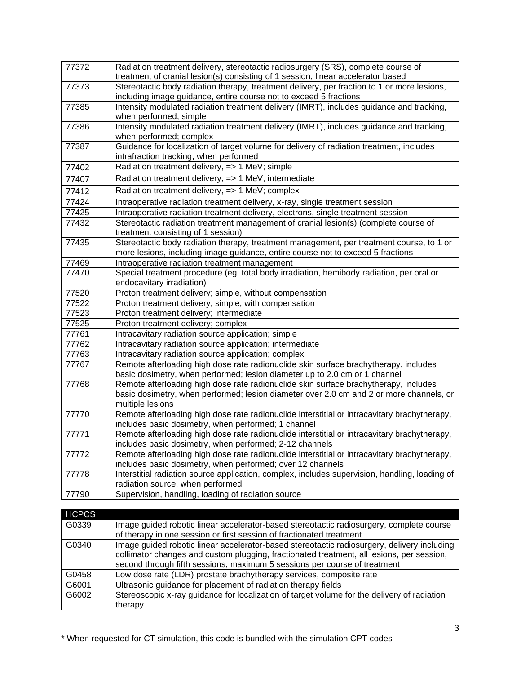| 77372 | Radiation treatment delivery, stereotactic radiosurgery (SRS), complete course of<br>treatment of cranial lesion(s) consisting of 1 session; linear accelerator based                               |
|-------|-----------------------------------------------------------------------------------------------------------------------------------------------------------------------------------------------------|
| 77373 | Stereotactic body radiation therapy, treatment delivery, per fraction to 1 or more lesions,<br>including image guidance, entire course not to exceed 5 fractions                                    |
| 77385 | Intensity modulated radiation treatment delivery (IMRT), includes guidance and tracking,<br>when performed; simple                                                                                  |
| 77386 | Intensity modulated radiation treatment delivery (IMRT), includes guidance and tracking,<br>when performed; complex                                                                                 |
| 77387 | Guidance for localization of target volume for delivery of radiation treatment, includes<br>intrafraction tracking, when performed                                                                  |
| 77402 | Radiation treatment delivery, => 1 MeV; simple                                                                                                                                                      |
| 77407 | Radiation treatment delivery, => 1 MeV; intermediate                                                                                                                                                |
| 77412 | Radiation treatment delivery, => 1 MeV; complex                                                                                                                                                     |
| 77424 | Intraoperative radiation treatment delivery, x-ray, single treatment session                                                                                                                        |
| 77425 | Intraoperative radiation treatment delivery, electrons, single treatment session                                                                                                                    |
| 77432 | Stereotactic radiation treatment management of cranial lesion(s) (complete course of<br>treatment consisting of 1 session)                                                                          |
| 77435 | Stereotactic body radiation therapy, treatment management, per treatment course, to 1 or<br>more lesions, including image guidance, entire course not to exceed 5 fractions                         |
| 77469 | Intraoperative radiation treatment management                                                                                                                                                       |
| 77470 | Special treatment procedure (eg, total body irradiation, hemibody radiation, per oral or<br>endocavitary irradiation)                                                                               |
| 77520 | Proton treatment delivery; simple, without compensation                                                                                                                                             |
| 77522 | Proton treatment delivery; simple, with compensation                                                                                                                                                |
| 77523 | Proton treatment delivery; intermediate                                                                                                                                                             |
| 77525 | Proton treatment delivery; complex                                                                                                                                                                  |
| 77761 | Intracavitary radiation source application; simple                                                                                                                                                  |
| 77762 | Intracavitary radiation source application; intermediate                                                                                                                                            |
| 77763 | Intracavitary radiation source application; complex                                                                                                                                                 |
| 77767 | Remote afterloading high dose rate radionuclide skin surface brachytherapy, includes<br>basic dosimetry, when performed; lesion diameter up to 2.0 cm or 1 channel                                  |
| 77768 | Remote afterloading high dose rate radionuclide skin surface brachytherapy, includes<br>basic dosimetry, when performed; lesion diameter over 2.0 cm and 2 or more channels, or<br>multiple lesions |
| 77770 | Remote afterloading high dose rate radionuclide interstitial or intracavitary brachytherapy,<br>includes basic dosimetry, when performed; 1 channel                                                 |
| 77771 | Remote afterloading high dose rate radionuclide interstitial or intracavitary brachytherapy,<br>includes basic dosimetry, when performed; 2-12 channels                                             |
| 77772 | Remote afterloading high dose rate radionuclide interstitial or intracavitary brachytherapy,<br>includes basic dosimetry, when performed; over 12 channels                                          |
| 77778 | Interstitial radiation source application, complex, includes supervision, handling, loading of<br>radiation source, when performed                                                                  |
| 77790 | Supervision, handling, loading of radiation source                                                                                                                                                  |

| <b>HCPCS</b> |                                                                                             |
|--------------|---------------------------------------------------------------------------------------------|
| G0339        | Image guided robotic linear accelerator-based stereotactic radiosurgery, complete course    |
|              | of therapy in one session or first session of fractionated treatment                        |
| G0340        | Image guided robotic linear accelerator-based stereotactic radiosurgery, delivery including |
|              | collimator changes and custom plugging, fractionated treatment, all lesions, per session,   |
|              | second through fifth sessions, maximum 5 sessions per course of treatment                   |
| G0458        | Low dose rate (LDR) prostate brachytherapy services, composite rate                         |
| G6001        | Ultrasonic guidance for placement of radiation therapy fields                               |
| G6002        | Stereoscopic x-ray guidance for localization of target volume for the delivery of radiation |
|              | therapy                                                                                     |